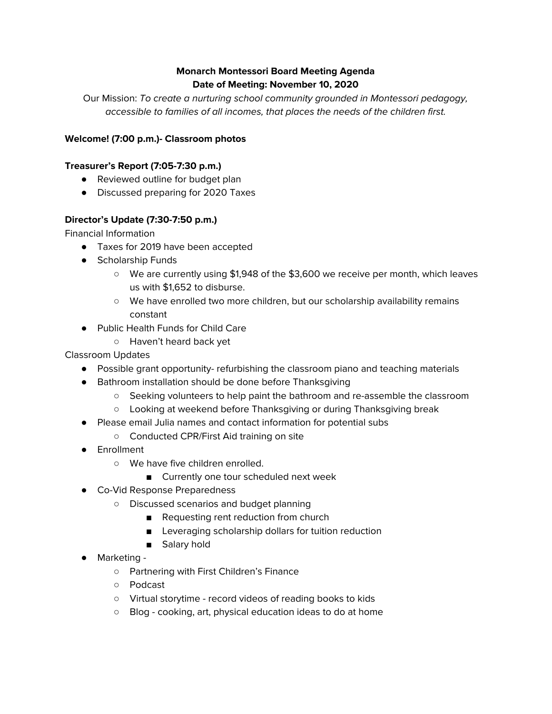# **Monarch Montessori Board Meeting Agenda Date of Meeting: November 10, 2020**

Our Mission: To create a nurturing school community grounded in Montessori pedagogy, accessible to families of all incomes, that places the needs of the children first.

# **Welcome! (7:00 p.m.)- Classroom photos**

## **Treasurer's Report (7:05-7:30 p.m.)**

- Reviewed outline for budget plan
- Discussed preparing for 2020 Taxes

## **Director's Update (7:30-7:50 p.m.)**

Financial Information

- Taxes for 2019 have been accepted
- Scholarship Funds
	- We are currently using \$1,948 of the \$3,600 we receive per month, which leaves us with \$1,652 to disburse.
	- We have enrolled two more children, but our scholarship availability remains constant
- Public Health Funds for Child Care
	- Haven't heard back yet

Classroom Updates

- Possible grant opportunity- refurbishing the classroom piano and teaching materials
- Bathroom installation should be done before Thanksgiving
	- Seeking volunteers to help paint the bathroom and re-assemble the classroom
	- Looking at weekend before Thanksgiving or during Thanksgiving break
- Please email Julia names and contact information for potential subs
	- Conducted CPR/First Aid training on site
- Enrollment
	- We have five children enrolled.
		- Currently one tour scheduled next week
- Co-Vid Response Preparedness
	- Discussed scenarios and budget planning
		- Requesting rent reduction from church
		- Leveraging scholarship dollars for tuition reduction
		- Salary hold
- Marketing
	- Partnering with First Children's Finance
	- Podcast
	- Virtual storytime record videos of reading books to kids
	- Blog cooking, art, physical education ideas to do at home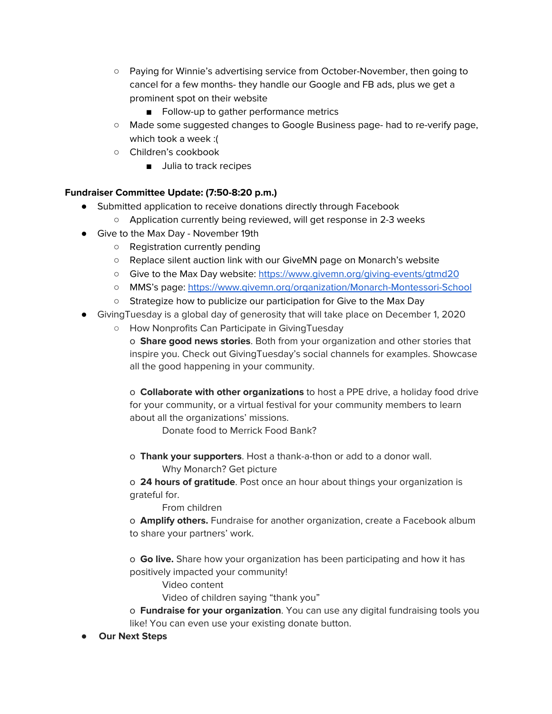- Paying for Winnie's advertising service from October-November, then going to cancel for a few months- they handle our Google and FB ads, plus we get a prominent spot on their website
	- Follow-up to gather performance metrics
- Made some suggested changes to Google Business page- had to re-verify page, which took a week :(
- Children's cookbook
	- Julia to track recipes

# **Fundraiser Committee Update: (7:50-8:20 p.m.)**

- Submitted application to receive donations directly through Facebook
	- Application currently being reviewed, will get response in 2-3 weeks
- Give to the Max Day November 19th
	- Registration currently pending
	- Replace silent auction link with our GiveMN page on Monarch's website
	- Give to the Max Day website: <https://www.givemn.org/giving-events/gtmd20>
	- MMS's page: <https://www.givemn.org/organization/Monarch-Montessori-School>
	- Strategize how to publicize our participation for Give to the Max Day
- GivingTuesday is a global day of generosity that will take place on December 1, 2020
	- How Nonprofits Can Participate in GivingTuesday
		- o **Share good news stories**. Both from your organization and other stories that inspire you. Check out GivingTuesday's social channels for examples. Showcase all the good happening in your community.

o **Collaborate with other organizations** to host a PPE drive, a holiday food drive for your community, or a virtual festival for your community members to learn about all the organizations' missions.

Donate food to Merrick Food Bank?

o **Thank your supporters**. Host a thank-a-thon or add to a donor wall. Why Monarch? Get picture

o **24 hours of gratitude**. Post once an hour about things your organization is grateful for.

From children

o **Amplify others.** Fundraise for another organization, create a Facebook album to share your partners' work.

o **Go live.** Share how your organization has been participating and how it has positively impacted your community!

Video content

Video of children saying "thank you"

- o **Fundraise for your organization**. You can use any digital fundraising tools you like! You can even use your existing donate button.
- **Our Next Steps**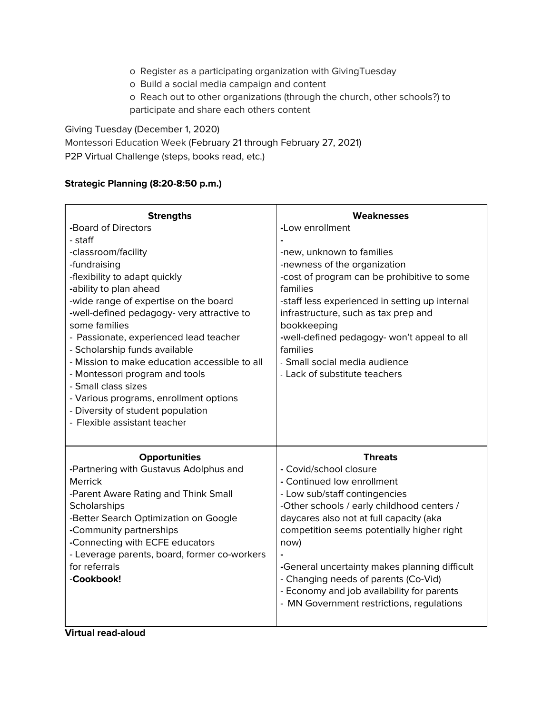- o Register as a participating organization with GivingTuesday
- o Build a social media campaign and content
- o Reach out to other organizations (through the church, other schools?) to participate and share each others content

Giving Tuesday (December 1, 2020) Montessori Education Week (February 21 through February 27, 2021) P2P Virtual Challenge (steps, books read, etc.)

## **Strategic Planning (8:20-8:50 p.m.)**

| <b>Strengths</b>                                                        | Weaknesses                                                                         |
|-------------------------------------------------------------------------|------------------------------------------------------------------------------------|
| -Board of Directors                                                     | -Low enrollment                                                                    |
| - staff                                                                 |                                                                                    |
| -classroom/facility                                                     | -new, unknown to families                                                          |
| -fundraising                                                            | -newness of the organization                                                       |
| -flexibility to adapt quickly                                           | -cost of program can be prohibitive to some                                        |
| -ability to plan ahead                                                  | families                                                                           |
| -wide range of expertise on the board                                   | -staff less experienced in setting up internal                                     |
| -well-defined pedagogy- very attractive to                              | infrastructure, such as tax prep and                                               |
| some families                                                           | bookkeeping                                                                        |
| - Passionate, experienced lead teacher<br>- Scholarship funds available | -well-defined pedagogy- won't appeal to all<br>families                            |
| - Mission to make education accessible to all                           | - Small social media audience                                                      |
| - Montessori program and tools                                          | - Lack of substitute teachers                                                      |
| - Small class sizes                                                     |                                                                                    |
| - Various programs, enrollment options                                  |                                                                                    |
| - Diversity of student population                                       |                                                                                    |
| - Flexible assistant teacher                                            |                                                                                    |
|                                                                         |                                                                                    |
| <b>Opportunities</b>                                                    | <b>Threats</b>                                                                     |
| -Partnering with Gustavus Adolphus and                                  | - Covid/school closure                                                             |
| <b>Merrick</b>                                                          | - Continued low enrollment                                                         |
| -Parent Aware Rating and Think Small                                    | - Low sub/staff contingencies                                                      |
| Scholarships                                                            | -Other schools / early childhood centers /                                         |
| -Better Search Optimization on Google                                   | daycares also not at full capacity (aka                                            |
| -Community partnerships                                                 | competition seems potentially higher right                                         |
| -Connecting with ECFE educators                                         | now)                                                                               |
| - Leverage parents, board, former co-workers                            |                                                                                    |
| for referrals                                                           | -General uncertainty makes planning difficult                                      |
| -Cookbook!                                                              | - Changing needs of parents (Co-Vid)<br>- Economy and job availability for parents |
|                                                                         | - MN Government restrictions, regulations                                          |
|                                                                         |                                                                                    |
|                                                                         |                                                                                    |

**Virtual read-aloud**